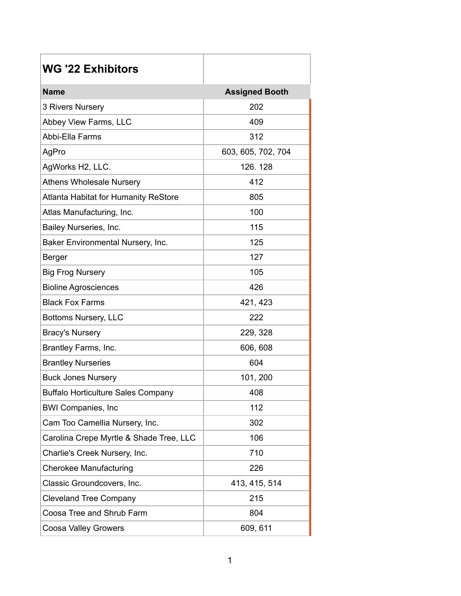| <b>WG '22 Exhibitors</b>                    |                       |
|---------------------------------------------|-----------------------|
| <b>Name</b>                                 | <b>Assigned Booth</b> |
| 3 Rivers Nursery                            | 202                   |
| Abbey View Farms, LLC                       | 409                   |
| Abbi-Ella Farms                             | 312                   |
| AgPro                                       | 603, 605, 702, 704    |
| AgWorks H2, LLC.                            | 126.128               |
| <b>Athens Wholesale Nursery</b>             | 412                   |
| <b>Atlanta Habitat for Humanity ReStore</b> | 805                   |
| Atlas Manufacturing, Inc.                   | 100                   |
| Bailey Nurseries, Inc.                      | 115                   |
| Baker Environmental Nursery, Inc.           | 125                   |
| <b>Berger</b>                               | 127                   |
| <b>Big Frog Nursery</b>                     | 105                   |
| <b>Bioline Agrosciences</b>                 | 426                   |
| <b>Black Fox Farms</b>                      | 421, 423              |
| Bottoms Nursery, LLC                        | 222                   |
| <b>Bracy's Nursery</b>                      | 229, 328              |
| Brantley Farms, Inc.                        | 606, 608              |
| <b>Brantley Nurseries</b>                   | 604                   |
| <b>Buck Jones Nursery</b>                   | 101, 200              |
| <b>Buffalo Horticulture Sales Company</b>   | 408                   |
| <b>BWI Companies, Inc.</b>                  | 112                   |
| Cam Too Camellia Nursery, Inc.              | 302                   |
| Carolina Crepe Myrtle & Shade Tree, LLC     | 106                   |
| Charlie's Creek Nursery, Inc.               | 710                   |
| <b>Cherokee Manufacturing</b>               | 226                   |
| Classic Groundcovers, Inc.                  | 413, 415, 514         |
| <b>Cleveland Tree Company</b>               | 215                   |
| Coosa Tree and Shrub Farm                   | 804                   |
| Coosa Valley Growers                        | 609, 611              |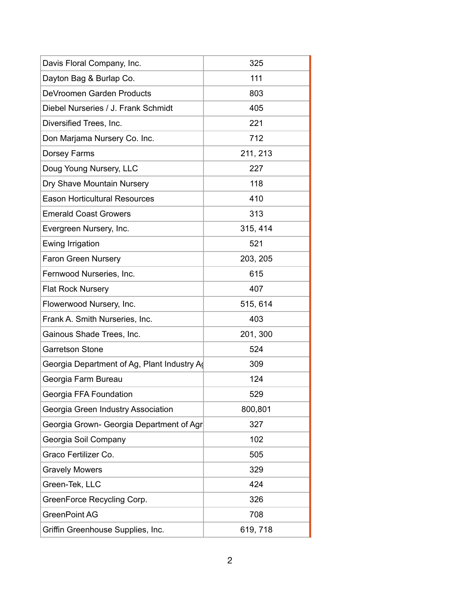| Davis Floral Company, Inc.                  | 325      |
|---------------------------------------------|----------|
| Dayton Bag & Burlap Co.                     | 111      |
| DeVroomen Garden Products                   | 803      |
| Diebel Nurseries / J. Frank Schmidt         | 405      |
| Diversified Trees, Inc.                     | 221      |
| Don Marjama Nursery Co. Inc.                | 712      |
| Dorsey Farms                                | 211, 213 |
| Doug Young Nursery, LLC                     | 227      |
| Dry Shave Mountain Nursery                  | 118      |
| <b>Eason Horticultural Resources</b>        | 410      |
| <b>Emerald Coast Growers</b>                | 313      |
| Evergreen Nursery, Inc.                     | 315, 414 |
| Ewing Irrigation                            | 521      |
| <b>Faron Green Nursery</b>                  | 203, 205 |
| Fernwood Nurseries, Inc.                    | 615      |
| <b>Flat Rock Nursery</b>                    | 407      |
| Flowerwood Nursery, Inc.                    | 515, 614 |
| Frank A. Smith Nurseries, Inc.              | 403      |
| Gainous Shade Trees, Inc.                   | 201, 300 |
| <b>Garretson Stone</b>                      | 524      |
| Georgia Department of Ag, Plant Industry Ad | 309      |
| Georgia Farm Bureau                         | 124      |
| Georgia FFA Foundation                      | 529      |
| Georgia Green Industry Association          | 800,801  |
| Georgia Grown- Georgia Department of Agr    | 327      |
| Georgia Soil Company                        | 102      |
| Graco Fertilizer Co.                        | 505      |
| <b>Gravely Mowers</b>                       | 329      |
| Green-Tek, LLC                              | 424      |
| GreenForce Recycling Corp.                  | 326      |
| <b>GreenPoint AG</b>                        | 708      |
| Griffin Greenhouse Supplies, Inc.           | 619, 718 |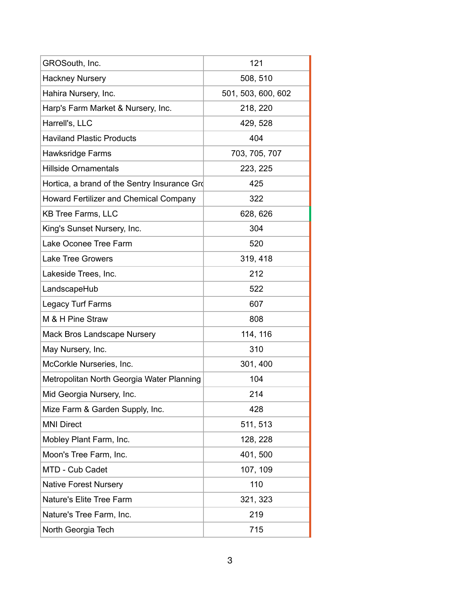| GROSouth, Inc.                                | 121                |
|-----------------------------------------------|--------------------|
| <b>Hackney Nursery</b>                        | 508, 510           |
| Hahira Nursery, Inc.                          | 501, 503, 600, 602 |
| Harp's Farm Market & Nursery, Inc.            | 218, 220           |
| Harrell's, LLC                                | 429, 528           |
| <b>Haviland Plastic Products</b>              | 404                |
| Hawksridge Farms                              | 703, 705, 707      |
| <b>Hillside Ornamentals</b>                   | 223, 225           |
| Hortica, a brand of the Sentry Insurance Gro  | 425                |
| <b>Howard Fertilizer and Chemical Company</b> | 322                |
| <b>KB Tree Farms, LLC</b>                     | 628, 626           |
| King's Sunset Nursery, Inc.                   | 304                |
| Lake Oconee Tree Farm                         | 520                |
| <b>Lake Tree Growers</b>                      | 319, 418           |
| Lakeside Trees, Inc.                          | 212                |
| LandscapeHub                                  | 522                |
| Legacy Turf Farms                             | 607                |
| M & H Pine Straw                              | 808                |
| Mack Bros Landscape Nursery                   | 114, 116           |
| May Nursery, Inc.                             | 310                |
| McCorkle Nurseries, Inc.                      | 301, 400           |
| Metropolitan North Georgia Water Planning     | 104                |
| Mid Georgia Nursery, Inc.                     | 214                |
| Mize Farm & Garden Supply, Inc.               | 428                |
| <b>MNI Direct</b>                             | 511, 513           |
| Mobley Plant Farm, Inc.                       | 128, 228           |
| Moon's Tree Farm, Inc.                        | 401, 500           |
| MTD - Cub Cadet                               | 107, 109           |
| <b>Native Forest Nursery</b>                  | 110                |
| <b>Nature's Elite Tree Farm</b>               | 321, 323           |
| Nature's Tree Farm, Inc.                      | 219                |
| North Georgia Tech                            | 715                |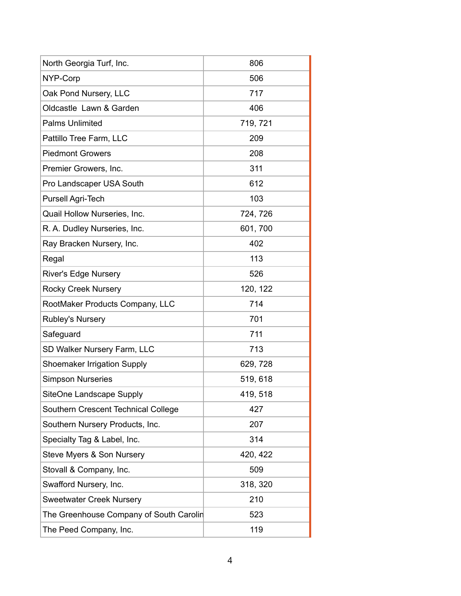| North Georgia Turf, Inc.                | 806      |
|-----------------------------------------|----------|
| NYP-Corp                                | 506      |
| Oak Pond Nursery, LLC                   | 717      |
| Oldcastle Lawn & Garden                 | 406      |
| <b>Palms Unlimited</b>                  | 719, 721 |
| Pattillo Tree Farm, LLC                 | 209      |
| <b>Piedmont Growers</b>                 | 208      |
| Premier Growers, Inc.                   | 311      |
| Pro Landscaper USA South                | 612      |
| Pursell Agri-Tech                       | 103      |
| Quail Hollow Nurseries, Inc.            | 724, 726 |
| R. A. Dudley Nurseries, Inc.            | 601, 700 |
| Ray Bracken Nursery, Inc.               | 402      |
| Regal                                   | 113      |
| <b>River's Edge Nursery</b>             | 526      |
| <b>Rocky Creek Nursery</b>              | 120, 122 |
| RootMaker Products Company, LLC         | 714      |
| Rubley's Nursery                        | 701      |
| Safeguard                               | 711      |
| SD Walker Nursery Farm, LLC             | 713      |
| <b>Shoemaker Irrigation Supply</b>      | 629, 728 |
| <b>Simpson Nurseries</b>                | 519, 618 |
| SiteOne Landscape Supply                | 419, 518 |
| Southern Crescent Technical College     | 427      |
| Southern Nursery Products, Inc.         | 207      |
| Specialty Tag & Label, Inc.             | 314      |
| Steve Myers & Son Nursery               | 420, 422 |
| Stovall & Company, Inc.                 | 509      |
| Swafford Nursery, Inc.                  | 318, 320 |
| <b>Sweetwater Creek Nursery</b>         | 210      |
| The Greenhouse Company of South Carolin | 523      |
| The Peed Company, Inc.                  | 119      |